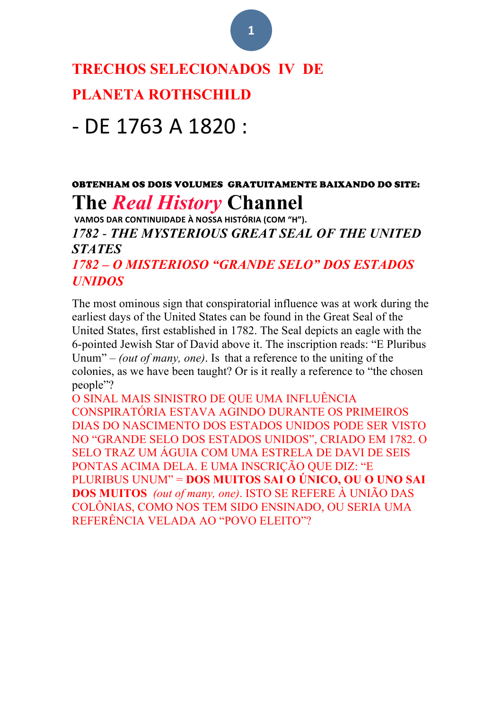#### **TRECHOS SELECIONADOS IV DE**

#### **PLANETA ROTHSCHILD**

## - DE 1763 A 1820 :

#### OBTENHAM OS DOIS VOLUMES GRATUITAMENTE BAIXANDO DO SITE: **The** *Real History* **Channel**

**VAMOS DAR CONTINUIDADE À NOSSA HISTÓRIA (COM "H").** *1782* - *THE MYSTERIOUS GREAT SEAL OF THE UNITED STATES 1782 – O MISTERIOSO "GRANDE SELO" DOS ESTADOS* 

#### *UNIDOS*

The most ominous sign that conspiratorial influence was at work during the earliest days of the United States can be found in the Great Seal of the United States, first established in 1782. The Seal depicts an eagle with the 6-pointed Jewish Star of David above it. The inscription reads: "E Pluribus Unum" – *(out of many, one)*. Is that a reference to the uniting of the colonies, as we have been taught? Or is it really a reference to "the chosen people"?

O SINAL MAIS SINISTRO DE QUE UMA INFLUÊNCIA CONSPIRATÓRIA ESTAVA AGINDO DURANTE OS PRIMEIROS DIAS DO NASCIMENTO DOS ESTADOS UNIDOS PODE SER VISTO NO "GRANDE SELO DOS ESTADOS UNIDOS", CRIADO EM 1782. O SELO TRAZ UM ÁGUIA COM UMA ESTRELA DE DAVI DE SEIS PONTAS ACIMA DELA. E UMA INSCRIÇÃO QUE DIZ: "E PLURIBUS UNUM" = **DOS MUITOS SAI O ÚNICO, OU O UNO SAI DOS MUITOS** *(out of many, one)*. ISTO SE REFERE À UNIÃO DAS COLÔNIAS, COMO NOS TEM SIDO ENSINADO, OU SERIA UMA REFERÊNCIA VELADA AO "POVO ELEITO"?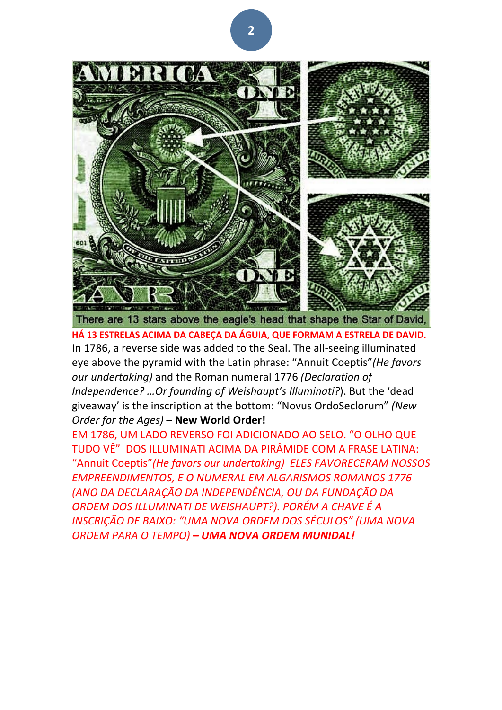

There are 13 stars above the eagle's head that shape the Star of David,

**HÁ 13 ESTRELAS ACIMA DA CABEÇA DA ÁGUIA, QUE FORMAM A ESTRELA DE DAVID.** In 1786, a reverse side was added to the Seal. The all-seeing illuminated eye above the pyramid with the Latin phrase: "Annuit Coeptis" (He favors our undertaking) and the Roman numeral 1776 (Declaration of *Independence?* ... Or founding of Weishaupt's Illuminati?). But the 'dead giveaway' is the inscription at the bottom: "Novus OrdoSeclorum" (New *Order for the Ages) - New World Order!* 

EM 1786, UM LADO REVERSO FOI ADICIONADO AO SELO. "O OLHO QUE TUDO VÊ" DOS ILLUMINATI ACIMA DA PIRÂMIDE COM A FRASE LATINA: "Annuit Coeptis" (He favors our undertaking) ELES FAVORECERAM NOSSOS **EMPREENDIMENTOS, E O NUMERAL EM ALGARISMOS ROMANOS 1776** *(ANO DA DECLARAÇÃO DA INDEPENDÊNCIA, OU DA FUNDAÇÃO DA*  **ORDEM DOS ILLUMINATI DE WEISHAUPT?). PORÉM A CHAVE É A** *INSCRIÇÃO DE BAIXO: "UMA NOVA ORDEM DOS SÉCULOS" (UMA NOVA ORDEM PARA O TEMPO) – UMA NOVA ORDEM MUNIDAL!*

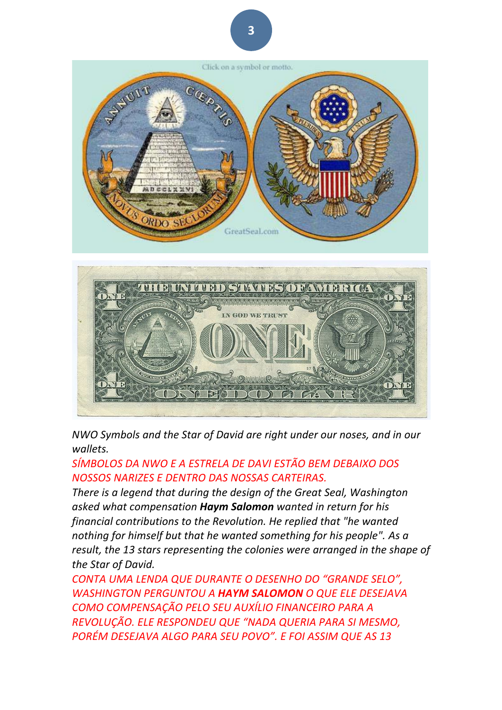

*NWO* Symbols and the Star of David are right under our noses, and in our *wallets.* 

#### SÍMBOLOS DA NWO E A ESTRELA DE DAVI ESTÃO BEM DEBAIXO DOS *NOSSOS NARIZES E DENTRO DAS NOSSAS CARTEIRAS.*

*There is a legend that during the design of the Great Seal, Washington asked what compensation Haym Salomon wanted in return for his financial contributions to the Revolution. He replied that "he wanted nothing for himself but that he wanted something for his people". As a* result, the 13 stars representing the colonies were arranged in the shape of the Star of David.

**CONTA UMA LENDA QUE DURANTE O DESENHO DO "GRANDE SELO",** *WASHINGTON PERGUNTOU A HAYM SALOMON O QUE ELE DESEJAVA COMO COMPENSAÇÃO PELO SEU AUXÍLIO FINANCEIRO PARA A REVOLUÇÃO. ELE RESPONDEU QUE "NADA QUERIA PARA SI MESMO, PORÉM DESEJAVA ALGO PARA SEU POVO". E FOI ASSIM QUE AS 13*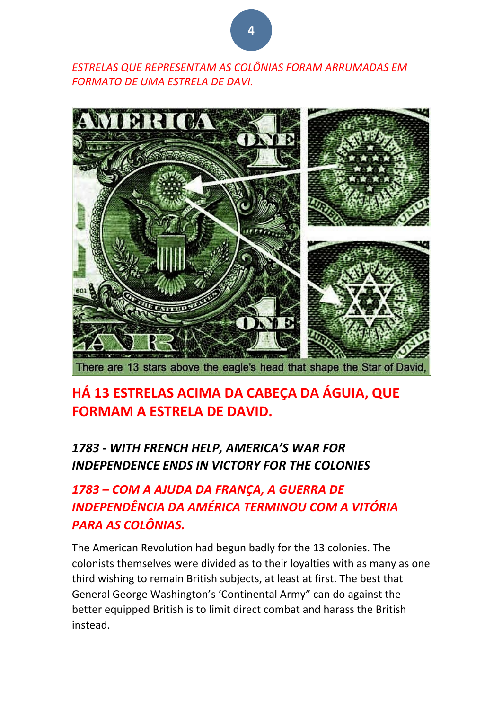*ESTRELAS QUE REPRESENTAM AS COLÔNIAS FORAM ARRUMADAS EM*  **FORMATO DE UMA ESTRELA DE DAVI.** 



#### **HÁ 13 ESTRELAS ACIMA DA CABEÇA DA ÁGUIA, QUE FORMAM A ESTRELA DE DAVID.**

#### *1783 - WITH FRENCH HELP, AMERICA'S WAR FOR*  **INDEPENDENCE ENDS IN VICTORY FOR THE COLONIES**

#### 1783 – COM A AJUDA DA FRANÇA, A GUERRA DE *INDEPENDÊNCIA DA AMÉRICA TERMINOU COM A VITÓRIA PARA AS COLÔNIAS.*

The American Revolution had begun badly for the 13 colonies. The colonists themselves were divided as to their loyalties with as many as one third wishing to remain British subjects, at least at first. The best that General George Washington's 'Continental Army" can do against the better equipped British is to limit direct combat and harass the British instead.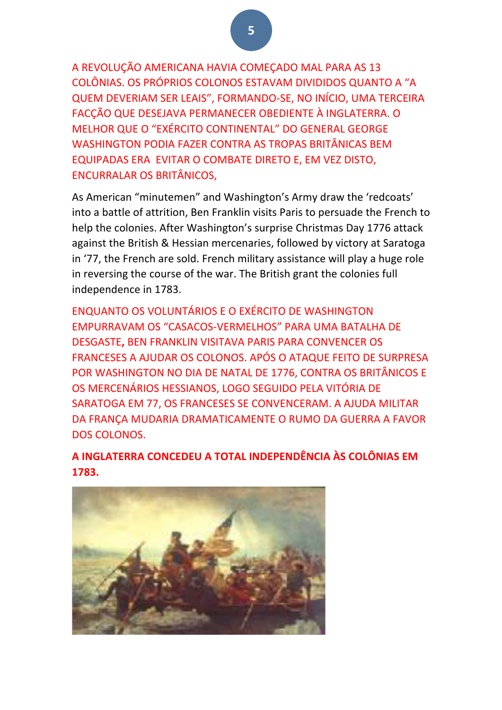A REVOLUÇÃO AMERICANA HAVIA COMECADO MAL PARA AS 13 COLÔNIAS. OS PRÓPRIOS COLONOS ESTAVAM DIVIDIDOS QUANTO A "A QUEM DEVERIAM SER LEAIS", FORMANDO-SE, NO INÍCIO, UMA TERCEIRA FACCÃO QUE DESEJAVA PERMANECER OBEDIENTE À INGLATERRA. O MELHOR QUE O "EXÉRCITO CONTINENTAL" DO GENERAL GEORGE WASHINGTON PODIA FAZER CONTRA AS TROPAS BRITÂNICAS BEM EQUIPADAS ERA EVITAR O COMBATE DIRETO E, EM VEZ DISTO, ENCURRALAR OS BRITÂNICOS,

As American "minutemen" and Washington's Army draw the 'redcoats' into a battle of attrition, Ben Franklin visits Paris to persuade the French to help the colonies. After Washington's surprise Christmas Day 1776 attack against the British & Hessian mercenaries, followed by victory at Saratoga in '77, the French are sold. French military assistance will play a huge role in reversing the course of the war. The British grant the colonies full independence in 1783.

ENQUANTO OS VOLUNTÁRIOS E O EXÉRCITO DE WASHINGTON EMPURRAVAM OS "CASACOS-VERMELHOS" PARA UMA BATALHA DE DESGASTE, BEN FRANKLIN VISITAVA PARIS PARA CONVENCER OS FRANCESES A AJUDAR OS COLONOS. APÓS O ATAQUE FEITO DE SURPRESA POR WASHINGTON NO DIA DE NATAL DE 1776, CONTRA OS BRITÂNICOS E OS MERCENÁRIOS HESSIANOS, LOGO SEGUIDO PELA VITÓRIA DE SARATOGA EM 77, OS FRANCESES SE CONVENCERAM. A AJUDA MILITAR DA FRANÇA MUDARIA DRAMATICAMENTE O RUMO DA GUERRA A FAVOR DOS COLONOS. 

**A INGLATERRA CONCEDEU A TOTAL INDEPENDÊNCIA ÀS COLÔNIAS EM 1783.**

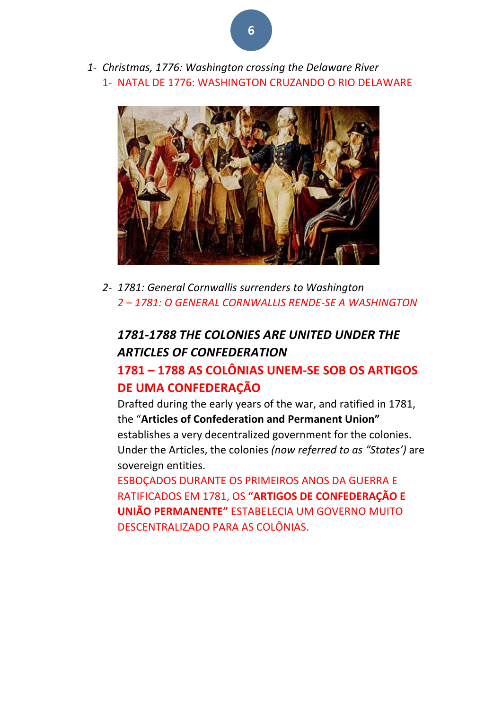*1- Christmas, 1776: Washington crossing the Delaware River* 1- NATAL DE 1776: WASHINGTON CRUZANDO O RIO DELAWARE



*2- 1781: General Cornwallis surrenders to Washington 2 – 1781: O GENERAL CORNWALLIS RENDE-SE A WASHINGTON*

#### 1781-1788 THE COLONIES ARE UNITED UNDER THE *ARTICLES OF CONFEDERATION*

#### **1781 – 1788 AS COLÔNIAS UNEM-SE SOB OS ARTIGOS DE UMA CONFEDERAÇÃO**

Drafted during the early years of the war, and ratified in 1781, the "**Articles of Confederation and Permanent Union"** establishes a very decentralized government for the colonies. Under the Articles, the colonies (now referred to as "States') are sovereign entities.

ESBOCADOS DURANTE OS PRIMEIROS ANOS DA GUERRA E **RATIFICADOS EM 1781, OS "ARTIGOS DE CONFEDERAÇÃO E UNIÃO PERMANENTE"** ESTABELECIA UM GOVERNO MUITO DESCENTRALIZADO PARA AS COLÔNIAS.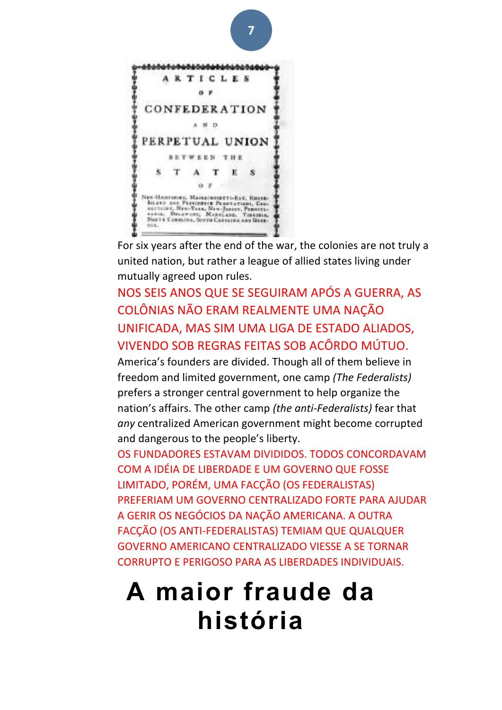

For six years after the end of the war, the colonies are not truly a united nation, but rather a league of allied states living under mutually agreed upon rules.

#### NOS SEIS ANOS QUE SE SEGUIRAM APÓS A GUERRA, AS COLÔNIAS NÃO ERAM REALMENTE UMA NAÇÃO UNIFICADA, MAS SIM UMA LIGA DE ESTADO ALIADOS, VIVENDO SOB REGRAS FEITAS SOB ACÔRDO MÚTUO.

America's founders are divided. Though all of them believe in freedom and limited government, one camp (The Federalists) prefers a stronger central government to help organize the nation's affairs. The other camp *(the anti-Federalists)* fear that any centralized American government might become corrupted and dangerous to the people's liberty.

OS FUNDADORES ESTAVAM DIVIDIDOS. TODOS CONCORDAVAM COM A IDÉIA DE LIBERDADE E UM GOVERNO QUE FOSSE LIMITADO, PORÉM, UMA FACÇÃO (OS FEDERALISTAS) PREFERIAM UM GOVERNO CENTRALIZADO FORTE PARA AJUDAR A GERIR OS NEGÓCIOS DA NAÇÃO AMERICANA. A OUTRA FACÇÃO (OS ANTI-FEDERALISTAS) TEMIAM QUE QUALQUER GOVERNO AMERICANO CENTRALIZADO VIESSE A SE TORNAR CORRUPTO E PERIGOSO PARA AS LIBERDADES INDIVIDUAIS.

# **A maior fraude da história**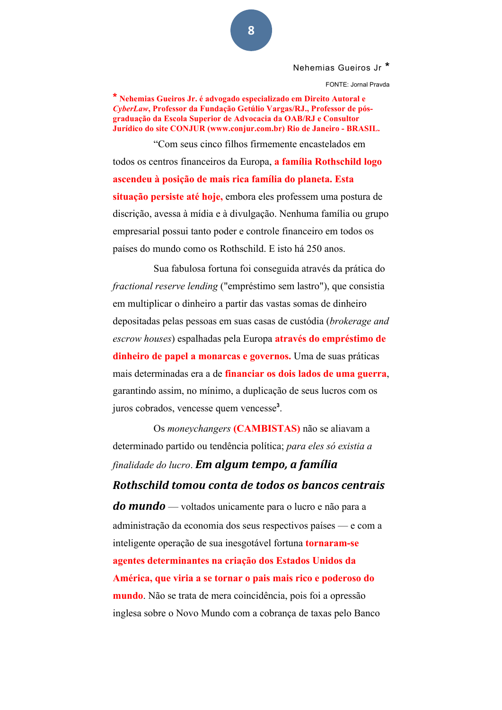Nehemias Gueiros Jr **\***

FONTE: Jornal Pravda

**\* Nehemias Gueiros Jr. é advogado especializado em Direito Autoral e**  *CyberLaw***, Professor da Fundação Getúlio Vargas/RJ., Professor de pósgraduação da Escola Superior de Advocacia da OAB/RJ e Consultor Jurídico do site CONJUR (www.conjur.com.br) Rio de Janeiro - BRASIL.**

"Com seus cinco filhos firmemente encastelados em todos os centros financeiros da Europa, **a família Rothschild logo ascendeu à posição de mais rica família do planeta. Esta situação persiste até hoje,** embora eles professem uma postura de discrição, avessa à mídia e à divulgação. Nenhuma família ou grupo empresarial possui tanto poder e controle financeiro em todos os países do mundo como os Rothschild. E isto há 250 anos.

Sua fabulosa fortuna foi conseguida através da prática do *fractional reserve lending* ("empréstimo sem lastro"), que consistia em multiplicar o dinheiro a partir das vastas somas de dinheiro depositadas pelas pessoas em suas casas de custódia (*brokerage and escrow houses*) espalhadas pela Europa **através do empréstimo de dinheiro de papel a monarcas e governos.** Uma de suas práticas mais determinadas era a de **financiar os dois lados de uma guerra**, garantindo assim, no mínimo, a duplicação de seus lucros com os juros cobrados, vencesse quem vencesse**<sup>3</sup>** .

Os *moneychangers* **(CAMBISTAS)** não se aliavam a determinado partido ou tendência política; *para eles só existia a finalidade do lucro*. **Em algum tempo, a família** *Rothschild tomou conta de todos os bancos centrais* **do mundo** — voltados unicamente para o lucro e não para a administração da economia dos seus respectivos países — e com a inteligente operação de sua inesgotável fortuna **tornaram-se agentes determinantes na criação dos Estados Unidos da América, que viria a se tornar o pais mais rico e poderoso do mundo**. Não se trata de mera coincidência, pois foi a opressão

inglesa sobre o Novo Mundo com a cobrança de taxas pelo Banco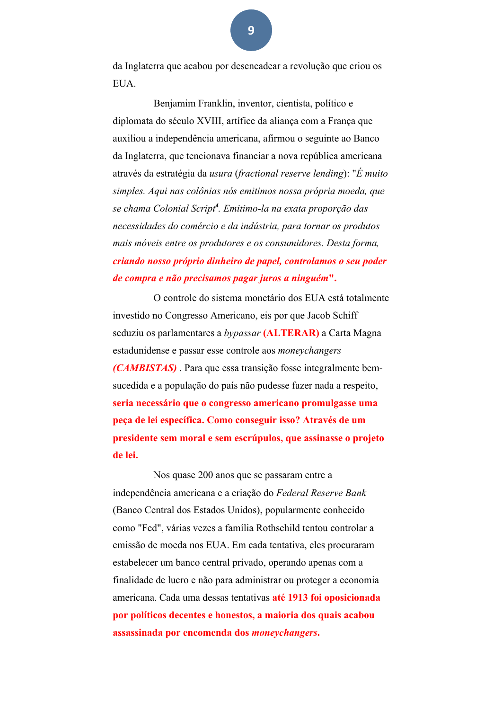da Inglaterra que acabou por desencadear a revolução que criou os **EUA** 

Benjamim Franklin, inventor, cientista, político e diplomata do século XVIII, artífice da aliança com a França que auxiliou a independência americana, afirmou o seguinte ao Banco da Inglaterra, que tencionava financiar a nova república americana através da estratégia da *usura* (*fractional reserve lending*): "*É muito simples. Aqui nas colônias nós emitimos nossa própria moeda, que se chama Colonial Script<sup>4</sup> . Emitimo-la na exata proporção das necessidades do comércio e da indústria, para tornar os produtos mais móveis entre os produtores e os consumidores. Desta forma, criando nosso próprio dinheiro de papel, controlamos o seu poder de compra e não precisamos pagar juros a ninguém***".**

O controle do sistema monetário dos EUA está totalmente investido no Congresso Americano, eis por que Jacob Schiff seduziu os parlamentares a *bypassar* **(ALTERAR)** a Carta Magna estadunidense e passar esse controle aos *moneychangers (CAMBISTAS)* . Para que essa transição fosse integralmente bemsucedida e a população do país não pudesse fazer nada a respeito, **seria necessário que o congresso americano promulgasse uma peça de lei específica. Como conseguir isso? Através de um presidente sem moral e sem escrúpulos, que assinasse o projeto de lei.**

Nos quase 200 anos que se passaram entre a independência americana e a criação do *Federal Reserve Bank* (Banco Central dos Estados Unidos), popularmente conhecido como "Fed", várias vezes a família Rothschild tentou controlar a emissão de moeda nos EUA. Em cada tentativa, eles procuraram estabelecer um banco central privado, operando apenas com a finalidade de lucro e não para administrar ou proteger a economia americana. Cada uma dessas tentativas **até 1913 foi oposicionada por políticos decentes e honestos, a maioria dos quais acabou assassinada por encomenda dos** *moneychangers***.**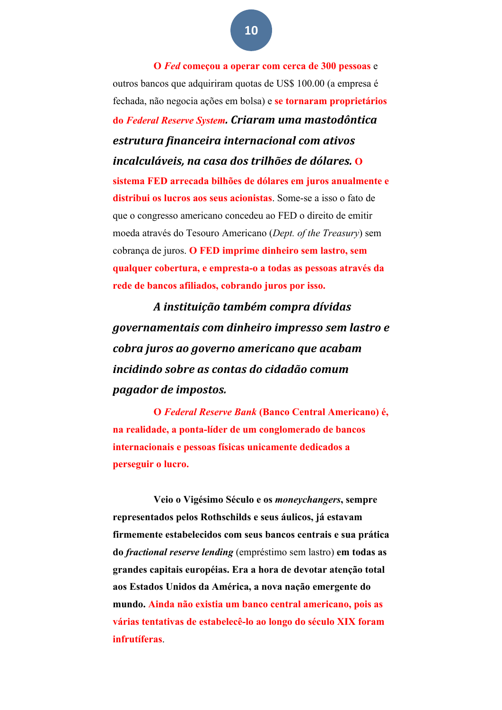**O** *Fed* **começou a operar com cerca de 300 pessoas** e outros bancos que adquiriram quotas de US\$ 100.00 (a empresa é fechada, não negocia ações em bolsa) e **se tornaram proprietários do** *Federal Reserve System. Criaram uma mastodôntica estrutura financeira internacional com ativos incalculáveis, na casa dos trilhões de dólares.* **O sistema FED arrecada bilhões de dólares em juros anualmente e distribui os lucros aos seus acionistas**. Some-se a isso o fato de que o congresso americano concedeu ao FED o direito de emitir moeda através do Tesouro Americano (*Dept. of the Treasury*) sem cobrança de juros. **O FED imprime dinheiro sem lastro, sem qualquer cobertura, e empresta-o a todas as pessoas através da rede de bancos afiliados, cobrando juros por isso.**

*A instituição também compra dívidas governamentais com dinheiro impresso sem lastro e cobra juros ao governo americano que acabam incidindo sobre as contas do cidadão comum pagador de impostos.*

**O** *Federal Reserve Bank* **(Banco Central Americano) é, na realidade, a ponta-líder de um conglomerado de bancos internacionais e pessoas físicas unicamente dedicados a perseguir o lucro.**

**Veio o Vigésimo Século e os** *moneychangers***, sempre representados pelos Rothschilds e seus áulicos, já estavam firmemente estabelecidos com seus bancos centrais e sua prática do** *fractional reserve lending* (empréstimo sem lastro) **em todas as grandes capitais européias. Era a hora de devotar atenção total aos Estados Unidos da América, a nova nação emergente do mundo. Ainda não existia um banco central americano, pois as várias tentativas de estabelecê-lo ao longo do século XIX foram infrutíferas**.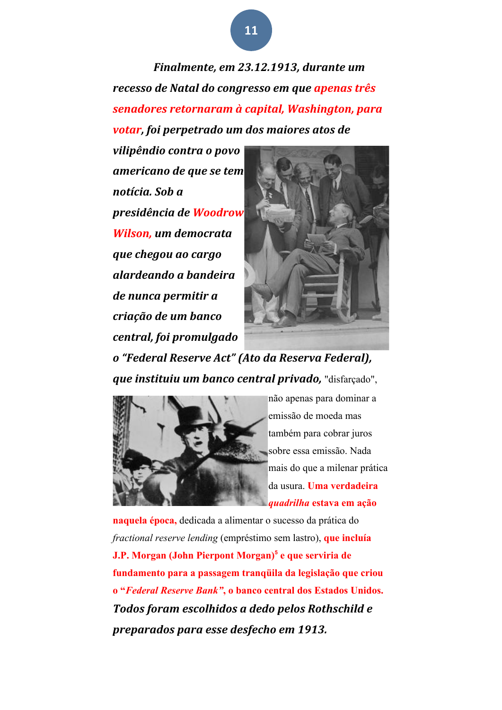*Finalmente, em 23.12.1913, durante um recesso de Natal do congresso em que apenas três senadores retornaram à capital, Washington, para votar, foi perpetrado um dos maiores atos de* 

*vilipêndio contra o povo americano de que se tem notícia. Sob a presidência de Woodrow Wilson, um democrata que chegou ao cargo alardeando a bandeira de nunca permitir a criação de um banco central, foi promulgado* 



*o "Federal Reserve Act" (Ato da Reserva Federal), gue instituiu um banco central privado, "disfarcado",* 



não apenas para dominar a emissão de moeda mas também para cobrar juros sobre essa emissão. Nada mais do que a milenar prática da usura. **Uma verdadeira**  *quadrilha* **estava em ação** 

**naquela época,** dedicada a alimentar o sucesso da prática do *fractional reserve lending* (empréstimo sem lastro), **que incluía J.P. Morgan (John Pierpont Morgan)<sup>5</sup> e que serviria de fundamento para a passagem tranqüila da legislação que criou o "***Federal Reserve Bank"***, o banco central dos Estados Unidos.** Todos foram escolhidos a dedo pelos Rothschild e *preparados para esse desfecho em 1913.*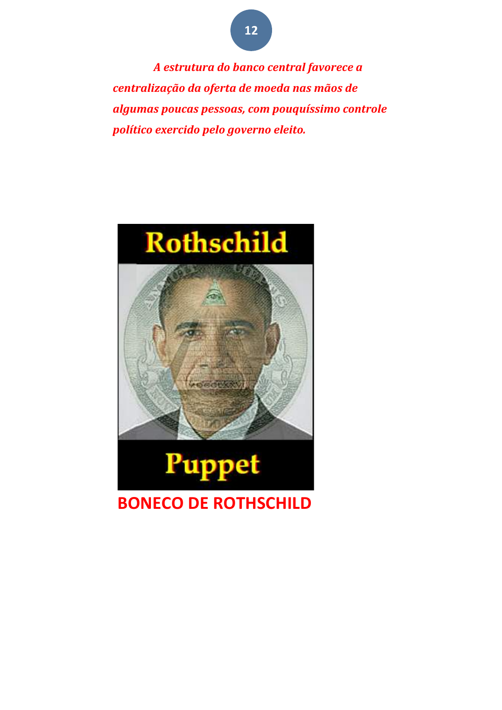*A estrutura do banco central favorece a centralização da oferta de moeda nas mãos de algumas poucas pessoas, com pouquíssimo controle político exercido pelo governo eleito.*



### **BONECO DE ROTHSCHILD**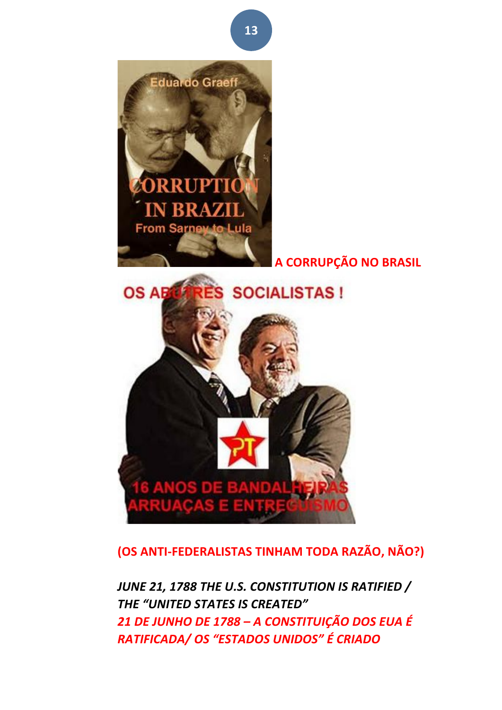

**(OS ANTI-FEDERALISTAS TINHAM TODA RAZÃO, NÃO?)**

JUNE 21, 1788 THE U.S. CONSTITUTION IS RATIFIED / **THE "UNITED STATES IS CREATED"** *21 DE JUNHO DE 1788 – A CONSTITUIÇÃO DOS EUA É RATIFICADA/ OS "ESTADOS UNIDOS" É CRIADO*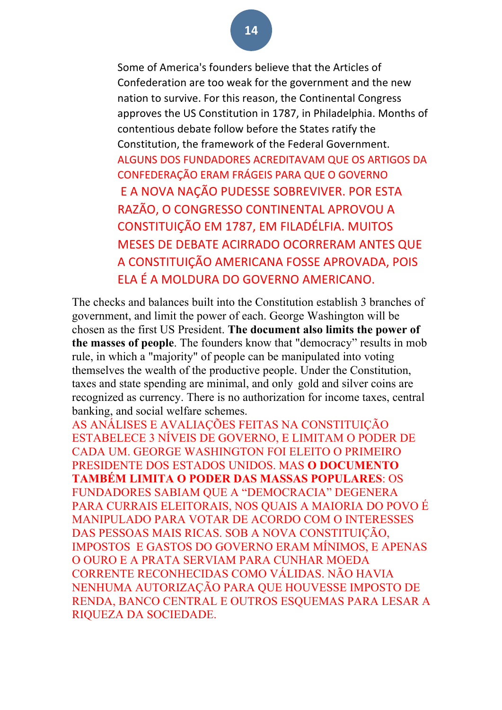#### Some of America's founders believe that the Articles of Confederation are too weak for the government and the new nation to survive. For this reason, the Continental Congress approves the US Constitution in 1787, in Philadelphia. Months of contentious debate follow before the States ratify the Constitution, the framework of the Federal Government. ALGUNS DOS FUNDADORES ACREDITAVAM QUE OS ARTIGOS DA CONFEDERAÇÃO ERAM FRÁGEIS PARA QUE O GOVERNO E A NOVA NAÇÃO PUDESSE SOBREVIVER. POR ESTA RAZÃO, O CONGRESSO CONTINENTAL APROVOU A CONSTITUIÇÃO EM 1787, EM FILADÉLFIA, MUITOS MESES DE DEBATE ACIRRADO OCORRERAM ANTES QUE A CONSTITUIÇÃO AMERICANA FOSSE APROVADA, POIS FLA É A MOLDURA DO GOVERNO AMERICANO.

The checks and balances built into the Constitution establish 3 branches of government, and limit the power of each. George Washington will be chosen as the first US President. **The document also limits the power of the masses of people**. The founders know that "democracy" results in mob rule, in which a "majority" of people can be manipulated into voting themselves the wealth of the productive people. Under the Constitution, taxes and state spending are minimal, and only gold and silver coins are recognized as currency. There is no authorization for income taxes, central banking, and social welfare schemes.

AS ANÁLISES E AVALIAÇÕES FEITAS NA CONSTITUIÇÃO ESTABELECE 3 NÍVEIS DE GOVERNO, E LIMITAM O PODER DE CADA UM. GEORGE WASHINGTON FOI ELEITO O PRIMEIRO PRESIDENTE DOS ESTADOS UNIDOS. MAS **O DOCUMENTO TAMBÉM LIMITA O PODER DAS MASSAS POPULARES**: OS FUNDADORES SABIAM QUE A "DEMOCRACIA" DEGENERA PARA CURRAIS ELEITORAIS, NOS QUAIS A MAIORIA DO POVO É MANIPULADO PARA VOTAR DE ACORDO COM O INTERESSES DAS PESSOAS MAIS RICAS. SOB A NOVA CONSTITUIÇÃO, IMPOSTOS E GASTOS DO GOVERNO ERAM MÍNIMOS, E APENAS O OURO E A PRATA SERVIAM PARA CUNHAR MOEDA CORRENTE RECONHECIDAS COMO VÁLIDAS. NÃO HAVIA NENHUMA AUTORIZAÇÃO PARA QUE HOUVESSE IMPOSTO DE RENDA, BANCO CENTRAL E OUTROS ESQUEMAS PARA LESAR A RIQUEZA DA SOCIEDADE.